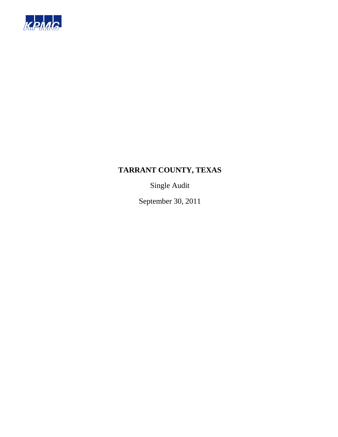

Single Audit

September 30, 2011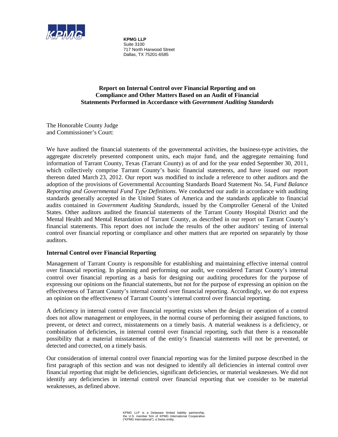

**KPMG LLP**  Suite 3100 717 North Harwood Street Dallas, TX 75201-6585

### **Report on Internal Control over Financial Reporting and on Compliance and Other Matters Based on an Audit of Financial Statements Performed in Accordance with** *Government Auditing Standards*

The Honorable County Judge and Commissioner's Court:

We have audited the financial statements of the governmental activities, the business-type activities, the aggregate discretely presented component units, each major fund, and the aggregate remaining fund information of Tarrant County, Texas (Tarrant County) as of and for the year ended September 30, 2011, which collectively comprise Tarrant County's basic financial statements, and have issued our report thereon dated March 23, 2012. Our report was modified to include a reference to other auditors and the adoption of the provisions of Governmental Accounting Standards Board Statement No. 54, *Fund Balance Reporting and Governmental Fund Type Definitions*. We conducted our audit in accordance with auditing standards generally accepted in the United States of America and the standards applicable to financial audits contained in *Government Auditing Standards*, issued by the Comptroller General of the United States. Other auditors audited the financial statements of the Tarrant County Hospital District and the Mental Health and Mental Retardation of Tarrant County, as described in our report on Tarrant County's financial statements. This report does not include the results of the other auditors' testing of internal control over financial reporting or compliance and other matters that are reported on separately by those auditors.

### **Internal Control over Financial Reporting**

Management of Tarrant County is responsible for establishing and maintaining effective internal control over financial reporting. In planning and performing our audit, we considered Tarrant County's internal control over financial reporting as a basis for designing our auditing procedures for the purpose of expressing our opinions on the financial statements, but not for the purpose of expressing an opinion on the effectiveness of Tarrant County's internal control over financial reporting. Accordingly, we do not express an opinion on the effectiveness of Tarrant County's internal control over financial reporting.

A deficiency in internal control over financial reporting exists when the design or operation of a control does not allow management or employees, in the normal course of performing their assigned functions, to prevent, or detect and correct, misstatements on a timely basis. A material weakness is a deficiency, or combination of deficiencies, in internal control over financial reporting, such that there is a reasonable possibility that a material misstatement of the entity's financial statements will not be prevented, or detected and corrected, on a timely basis.

Our consideration of internal control over financial reporting was for the limited purpose described in the first paragraph of this section and was not designed to identify all deficiencies in internal control over financial reporting that might be deficiencies, significant deficiencies, or material weaknesses. We did not identify any deficiencies in internal control over financial reporting that we consider to be material weaknesses, as defined above.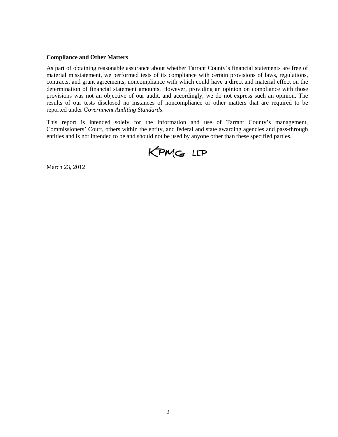#### **Compliance and Other Matters**

As part of obtaining reasonable assurance about whether Tarrant County's financial statements are free of material misstatement, we performed tests of its compliance with certain provisions of laws, regulations, contracts, and grant agreements, noncompliance with which could have a direct and material effect on the determination of financial statement amounts. However, providing an opinion on compliance with those provisions was not an objective of our audit, and accordingly, we do not express such an opinion. The results of our tests disclosed no instances of noncompliance or other matters that are required to be reported under *Government Auditing Standards*.

This report is intended solely for the information and use of Tarrant County's management, Commissioners' Court, others within the entity, and federal and state awarding agencies and pass-through entities and is not intended to be and should not be used by anyone other than these specified parties.

KPMG LLP

March 23, 2012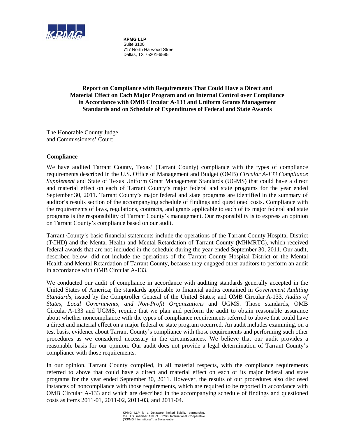

**KPMG LLP**  Suite 3100 717 North Harwood Street Dallas, TX 75201-6585

**Report on Compliance with Requirements That Could Have a Direct and Material Effect on Each Major Program and on Internal Control over Compliance in Accordance with OMB Circular A-133 and Uniform Grants Management Standards and on Schedule of Expenditures of Federal and State Awards**

The Honorable County Judge and Commissioners' Court:

### **Compliance**

We have audited Tarrant County, Texas' (Tarrant County) compliance with the types of compliance requirements described in the U.S. Office of Management and Budget (OMB) *Circular A-133 Compliance Supplement* and State of Texas Uniform Grant Management Standards (UGMS) that could have a direct and material effect on each of Tarrant County's major federal and state programs for the year ended September 30, 2011. Tarrant County's major federal and state programs are identified in the summary of auditor's results section of the accompanying schedule of findings and questioned costs. Compliance with the requirements of laws, regulations, contracts, and grants applicable to each of its major federal and state programs is the responsibility of Tarrant County's management. Our responsibility is to express an opinion on Tarrant County's compliance based on our audit.

Tarrant County's basic financial statements include the operations of the Tarrant County Hospital District (TCHD) and the Mental Health and Mental Retardation of Tarrant County (MHMRTC), which received federal awards that are not included in the schedule during the year ended September 30, 2011. Our audit, described below, did not include the operations of the Tarrant County Hospital District or the Mental Health and Mental Retardation of Tarrant County, because they engaged other auditors to perform an audit in accordance with OMB Circular A-133.

We conducted our audit of compliance in accordance with auditing standards generally accepted in the United States of America; the standards applicable to financial audits contained in *Government Auditing Standards*, issued by the Comptroller General of the United States; and OMB Circular A-133, *Audits of States, Local Governments, and Non-Profit Organizations* and UGMS. Those standards, OMB Circular A-133 and UGMS, require that we plan and perform the audit to obtain reasonable assurance about whether noncompliance with the types of compliance requirements referred to above that could have a direct and material effect on a major federal or state program occurred. An audit includes examining, on a test basis, evidence about Tarrant County's compliance with those requirements and performing such other procedures as we considered necessary in the circumstances. We believe that our audit provides a reasonable basis for our opinion. Our audit does not provide a legal determination of Tarrant County's compliance with those requirements.

In our opinion, Tarrant County complied, in all material respects, with the compliance requirements referred to above that could have a direct and material effect on each of its major federal and state programs for the year ended September 30, 2011. However, the results of our procedures also disclosed instances of noncompliance with those requirements, which are required to be reported in accordance with OMB Circular A-133 and which are described in the accompanying schedule of findings and questioned costs as items 2011-01, 2011-02, 2011-03, and 2011-04.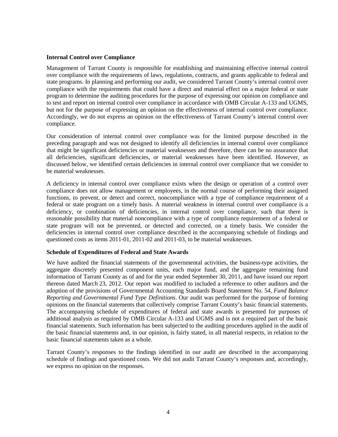#### **Internal Control over Compliance**

Management of Tarrant County is responsible for establishing and maintaining effective internal control over compliance with the requirements of laws, regulations, contracts, and grants applicable to federal and state programs. In planning and performing our audit, we considered Tarrant County's internal control over compliance with the requirements that could have a direct and material effect on a major federal or state program to determine the auditing procedures for the purpose of expressing our opinion on compliance and to test and report on internal control over compliance in accordance with OMB Circular A-133 and UGMS, but not for the purpose of expressing an opinion on the effectiveness of internal control over compliance. Accordingly, we do not express an opinion on the effectiveness of Tarrant County's internal control over compliance.

Our consideration of internal control over compliance was for the limited purpose described in the preceding paragraph and was not designed to identify all deficiencies in internal control over compliance that might be significant deficiencies or material weaknesses and therefore, there can be no assurance that all deficiencies, significant deficiencies, or material weaknesses have been identified. However, as discussed below, we identified certain deficiencies in internal control over compliance that we consider to be material weaknesses.

A deficiency in internal control over compliance exists when the design or operation of a control over compliance does not allow management or employees, in the normal course of performing their assigned functions, to prevent, or detect and correct, noncompliance with a type of compliance requirement of a federal or state program on a timely basis. A material weakness in internal control over compliance is a deficiency, or combination of deficiencies, in internal control over compliance, such that there is reasonable possibility that material noncompliance with a type of compliance requirement of a federal or state program will not be prevented, or detected and corrected, on a timely basis. We consider the deficiencies in internal control over compliance described in the accompanying schedule of findings and questioned costs as items 2011-01, 2011-02 and 2011-03, to be material weaknesses.

### **Schedule of Expenditures of Federal and State Awards**

We have audited the financial statements of the governmental activities, the business-type activities, the aggregate discretely presented component units, each major fund, and the aggregate remaining fund information of Tarrant County as of and for the year ended September 30, 2011, and have issued our report thereon dated March 23, 2012. Our report was modified to included a reference to other auditors and the adoption of the provisions of Governmental Accounting Standards Board Statement No. 54, *Fund Balance Reporting and Governmental Fund Type Definitions*. Our audit was performed for the purpose of forming opinions on the financial statements that collectively comprise Tarrant County's basic financial statements. The accompanying schedule of expenditures of federal and state awards is presented for purposes of additional analysis as required by OMB Circular A-133 and UGMS and is not a required part of the basic financial statements. Such information has been subjected to the auditing procedures applied in the audit of the basic financial statements and, in our opinion, is fairly stated, in all material respects, in relation to the basic financial statements taken as a whole.

Tarrant County's responses to the findings identified in our audit are described in the accompanying schedule of findings and questioned costs. We did not audit Tarrant County's responses and, accordingly, we express no opinion on the responses.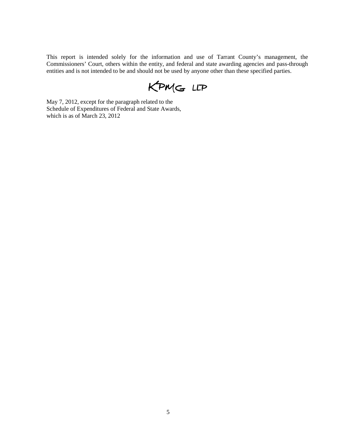This report is intended solely for the information and use of Tarrant County's management, the Commissioners' Court, others within the entity, and federal and state awarding agencies and pass-through entities and is not intended to be and should not be used by anyone other than these specified parties.

KPMG LLP

May 7, 2012, except for the paragraph related to the Schedule of Expenditures of Federal and State Awards, which is as of March 23, 2012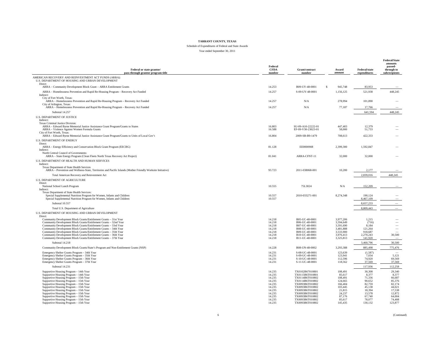#### Schedule of Expenditures of Federal and State Awards Year ended September 30, 2011

| Federal or state grantor/<br>pass-through grantor program title                                                                                                                                                                                                                                                                                                                                                                                                                                            | Federal<br><b>CFDA</b><br>number                                                                           | Grant/contract<br>number                                                                                                                                                                                      | Award<br>amount                                                                                                  | <b>Federal/state</b><br>expenditures                                                                       | <b>Federal/State</b><br>amounts<br>passed-<br>through to<br>subrecipients                                  |
|------------------------------------------------------------------------------------------------------------------------------------------------------------------------------------------------------------------------------------------------------------------------------------------------------------------------------------------------------------------------------------------------------------------------------------------------------------------------------------------------------------|------------------------------------------------------------------------------------------------------------|---------------------------------------------------------------------------------------------------------------------------------------------------------------------------------------------------------------|------------------------------------------------------------------------------------------------------------------|------------------------------------------------------------------------------------------------------------|------------------------------------------------------------------------------------------------------------|
| AMERICAN RECOVERY AND REINVESTMENT ACT FUNDS (ARRA):<br>U.S. DEPARTMENT OF HOUSING AND URBAN DEVELOPMENT<br>Direct:                                                                                                                                                                                                                                                                                                                                                                                        |                                                                                                            |                                                                                                                                                                                                               |                                                                                                                  |                                                                                                            |                                                                                                            |
| ARRA - Community Development Block Grant - ARRA Entitlement Grants                                                                                                                                                                                                                                                                                                                                                                                                                                         | 14.253                                                                                                     | B09-UY-48-0001                                                                                                                                                                                                | <sup>\$</sup><br>945,748                                                                                         | 83.953                                                                                                     |                                                                                                            |
| ARRA - Homelessness Prevention and Rapid Re-Housing Program - Recovery Act Funded                                                                                                                                                                                                                                                                                                                                                                                                                          | 14.257                                                                                                     | S-09-UY-48-0001                                                                                                                                                                                               | 1,156,125                                                                                                        | 521,938                                                                                                    | 448,245                                                                                                    |
| Indirect:<br>City of Fort Worth, Texas:<br>ARRA - Homelessness Prevention and Rapid Re-Housing Program - Recovery Act Funded                                                                                                                                                                                                                                                                                                                                                                               | 14.257                                                                                                     | N/A                                                                                                                                                                                                           | 278,994                                                                                                          | 101,890                                                                                                    |                                                                                                            |
| City of Arlington, Texas:<br>ARRA - Homelessness Prevention and Rapid Re-Housing Program - Recovery Act Funded                                                                                                                                                                                                                                                                                                                                                                                             | 14.257                                                                                                     | N/A                                                                                                                                                                                                           | 77,187                                                                                                           | 17.766                                                                                                     |                                                                                                            |
| Subtotal 14.257                                                                                                                                                                                                                                                                                                                                                                                                                                                                                            |                                                                                                            |                                                                                                                                                                                                               |                                                                                                                  | 641,594                                                                                                    | 448.245                                                                                                    |
| <b>U.S. DEPARTMENT OF JUSTICE</b>                                                                                                                                                                                                                                                                                                                                                                                                                                                                          |                                                                                                            |                                                                                                                                                                                                               |                                                                                                                  |                                                                                                            |                                                                                                            |
| Indirect:<br>Texas Criminal Justice Division:<br>ARRA - Edward Byrne Memorial Justice Assistance Grant Program/Grants to States<br>ARRA - Violence Against Women Formula Grants<br>City of Fort Worth, Texas:<br>ARRA - Edward Byrne Memorial Justice Assistance Grant Program/Grants to Units of Local Gov't                                                                                                                                                                                              | 16.803<br>16.588<br>16.804                                                                                 | SU-09-A10-22222-01<br>EF-09-V30-23023-01<br>2009-SB-B9-1479                                                                                                                                                   | 447,403<br>58,000<br>708,613                                                                                     | 12,379<br>51,733<br>422.333                                                                                |                                                                                                            |
| <b>U.S. DEPARTMENT OF ENERGY</b><br>Direct:<br>ARRA - Energy Efficiency and Conservation Block Grant Program (EECBG)                                                                                                                                                                                                                                                                                                                                                                                       | 81.128                                                                                                     | EE0000908                                                                                                                                                                                                     | 2,399,300                                                                                                        | 1,592,847                                                                                                  |                                                                                                            |
| Indirect:                                                                                                                                                                                                                                                                                                                                                                                                                                                                                                  |                                                                                                            |                                                                                                                                                                                                               |                                                                                                                  |                                                                                                            |                                                                                                            |
| North Central Council of Governments:<br>ARRA - State Energy Program (Clean Fleets North Texas Recovery Act Project)                                                                                                                                                                                                                                                                                                                                                                                       | 81.041                                                                                                     | ARRA-CFNT-11                                                                                                                                                                                                  | 32,000                                                                                                           | 32,000                                                                                                     |                                                                                                            |
| U.S. DEPARTMENT OF HEALTH AND HUMAN SERVICES<br>Indirect:<br>Texas Department of State Health Services                                                                                                                                                                                                                                                                                                                                                                                                     |                                                                                                            |                                                                                                                                                                                                               |                                                                                                                  |                                                                                                            |                                                                                                            |
| ARRA - Prevention and Wellness-State, Territories and Pacific Islands (Mother Friendly Worksite Initiative)                                                                                                                                                                                                                                                                                                                                                                                                | 93.723                                                                                                     | 2011-038068-001                                                                                                                                                                                               | 10,200                                                                                                           | 2,177                                                                                                      |                                                                                                            |
| Total American Recovery and Reinvestment Act                                                                                                                                                                                                                                                                                                                                                                                                                                                               |                                                                                                            |                                                                                                                                                                                                               |                                                                                                                  | 2,839,016                                                                                                  | 448,245                                                                                                    |
| U.S. DEPARTMENT OF AGRICULTURE<br>Direct:<br>National School Lunch Program                                                                                                                                                                                                                                                                                                                                                                                                                                 | 10.555                                                                                                     | 75L3024                                                                                                                                                                                                       | N/A                                                                                                              | 152.209                                                                                                    |                                                                                                            |
| Indirect:<br>Texas Department of State Health Services:<br>Special Supplemental Nutrition Program for Women, Infants and Children<br>Special Supplemental Nutrition Program for Women, Infants and Children                                                                                                                                                                                                                                                                                                | 10.557<br>10.557                                                                                           | 2010-033271-001                                                                                                                                                                                               | 8,274,348                                                                                                        | 190,124<br>8,467,109                                                                                       |                                                                                                            |
| Subtotal 10.557                                                                                                                                                                                                                                                                                                                                                                                                                                                                                            |                                                                                                            |                                                                                                                                                                                                               |                                                                                                                  | 8,657,233                                                                                                  | $\overline{\phantom{a}}$                                                                                   |
| Total U.S. Department of Agriculture                                                                                                                                                                                                                                                                                                                                                                                                                                                                       |                                                                                                            |                                                                                                                                                                                                               |                                                                                                                  | 8,809,443                                                                                                  | $\overline{\phantom{a}}$                                                                                   |
| U.S. DEPARTMENT OF HOUSING AND URBAN DEVELOPMENT                                                                                                                                                                                                                                                                                                                                                                                                                                                           |                                                                                                            |                                                                                                                                                                                                               |                                                                                                                  |                                                                                                            |                                                                                                            |
| Direct:<br>Community Development Block Grants/Entitlement Grants - 31st Year<br>Community Development Block Grants/Entitlement Grants - 32nd Year<br>Community Development Block Grants/Entitlement Grants - 33rd Year<br>Community Development Block Grants/Entitlement Grants - 34th Year<br>Community Development Block Grants/Entitlement Grants - 35th Year<br>Community Development Block Grants/Entitlement Grants - 36th Year<br>Community Development Block Grants/Entitlement Grants - 37th Year | 14.218<br>14.218<br>14.218<br>14.218<br>14.218<br>14.218<br>14.218                                         | B05-UC-48-0001<br>B06-UC-48-0001<br>B07-UC-48-0001<br>B08-UC-48-0001<br>B09-UC-48-0001<br>B10-UC-48-0001<br>B11-UC-48-0001                                                                                    | 3,977,206<br>3,594,649<br>3,591,690<br>3,481,888<br>3.533.900<br>3,976,413<br>3,325,813                          | 1,215<br>(716)<br>8,184<br>121,264<br>918.687<br>2,270,243<br>141,920                                      | $\overline{\phantom{a}}$<br>$\overline{\phantom{a}}$<br>$\hspace{0.1mm}-\hspace{0.1mm}$<br>30,500          |
| Subtotal 14.218                                                                                                                                                                                                                                                                                                                                                                                                                                                                                            |                                                                                                            |                                                                                                                                                                                                               |                                                                                                                  | 3,460,796                                                                                                  | 30,500                                                                                                     |
| Community Development Block Grants/State's Program and Non-Entitlement Grants (NSP)                                                                                                                                                                                                                                                                                                                                                                                                                        | 14.228                                                                                                     | B08-UN-48-0002                                                                                                                                                                                                | 3,293,388                                                                                                        | 885,498                                                                                                    | 775,476                                                                                                    |
| Emergency Shelter Grants Program - 34th Year<br>Emergency Shelter Grants Program - 35th Year<br>Emergency Shelter Grants Program - 36th Year<br>Emergency Shelter Grants Program - 37th Year                                                                                                                                                                                                                                                                                                               | 14.231<br>14.231<br>14.231<br>14.231                                                                       | S-08-UC-48-0001<br>S-09-UC-48-0001<br>S-10-UC-48-0001<br>S-11-UC-48-0001                                                                                                                                      | 123,639<br>123.941<br>112,596<br>118,562                                                                         | (1, 587)<br>7.034<br>74,920<br>37,569                                                                      | 5,121<br>69,569<br>37,569                                                                                  |
| Subtotal 14.231                                                                                                                                                                                                                                                                                                                                                                                                                                                                                            |                                                                                                            |                                                                                                                                                                                                               |                                                                                                                  | 117,936                                                                                                    | 112,258                                                                                                    |
| Supportive Housing Program - 14th Year<br>Supportive Housing Program - 14th Year<br>Supportive Housing Program - 15th Year<br>Supportive Housing Program - 15th Year<br>Supportive Housing Program - 15th Year<br>Supportive Housing Program - 15th Year<br>Supportive Housing Program - 15th Year<br>Supportive Housing Program - 15th Year<br>Supportive Housing Program - 15th Year<br>Supportive Housing Program - 15th Year<br>Supportive Housing Program - 15th Year                                 | 14.235<br>14.235<br>14.235<br>14.235<br>14.235<br>14.235<br>14.235<br>14.235<br>14.235<br>14.235<br>14.235 | TX0102B67010801<br>TX0115B6T010801<br>TX0114B6T010802<br>TX0114B6T010802<br>TX0093B6T010802<br>TX0093B6T010802<br>TX0093B6T010802<br>TX0093B6T010802<br>TX0093B6T010802<br>TX0093B6T010802<br>TX0093B6T010802 | 108,491<br>85,617<br>108,491<br>124,665<br>166,404<br>103,445<br>21.815<br>24,237<br>87,176<br>85,617<br>145,435 | 30,308<br>8,377<br>71,336<br>90,652<br>82,759<br>45,138<br>18.394<br>13,578<br>67,740<br>78,077<br>130,132 | 29,340<br>8,377<br>66,687<br>85,376<br>82,174<br>44,021<br>17.538<br>12,872<br>64,004<br>74,408<br>123,877 |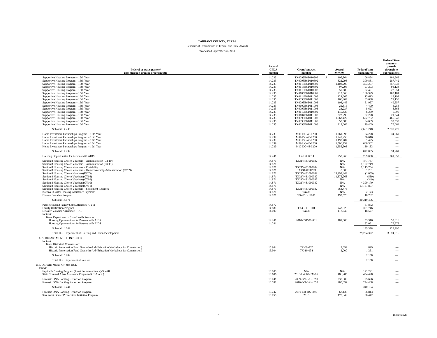Schedule of Expenditures of Federal and State Awards Year ended September 30, 2011

| Federal or state grantor/<br>pass-through grantor program title                                                                                                | Federal<br><b>CFDA</b><br>number | Grant/contract<br>number           | Award<br>amount    | Federal/state<br>expenditures | amounts<br>passed-<br>through to<br>subrecipients    |
|----------------------------------------------------------------------------------------------------------------------------------------------------------------|----------------------------------|------------------------------------|--------------------|-------------------------------|------------------------------------------------------|
| Supportive Housing Program - 15th Year                                                                                                                         | 14.235                           | TX0093B6T010802<br>-S              | 106,864            | 106,864                       | 101,962                                              |
| Supportive Housing Program - 15th Year                                                                                                                         | 14.235                           | TX0093B6T010802                    | 322,293            | 300.881                       | 287,742                                              |
| Supportive Housing Program - 15th Year                                                                                                                         | 14.235                           | TX0113B6T010802                    | 1,103,295          | 453.297                       | 357,333                                              |
| Supportive Housing Program - 15th Year                                                                                                                         | 14.235                           | TX0113B6T010802                    | 97,293             | 97,293                        | 93,124                                               |
| Supportive Housing Program - 15th Year                                                                                                                         | 14.235                           | TX0113B6T010802                    | 50,680             | 22,491                        | 22,051                                               |
| Supportive Housing Program - 15th Year                                                                                                                         | 14.235                           | TX0105B6T010802                    | 212,663            | 106,329                       | 103,184                                              |
| Supportive Housing Program - 16th Year                                                                                                                         | 14.235                           | TX0114B6T011003                    | 124,665            | 13,613                        | 13,192                                               |
| Supportive Housing Program - 16th Year                                                                                                                         | 14.235                           | TX0093B6T011003                    | 166,404            | 83,638                        | 79,150                                               |
| Supportive Housing Program - 16th Year                                                                                                                         | 14.235                           | TX0093B6T011003                    | 103,445            | 51,957                        | 49,657                                               |
| Supportive Housing Program - 16th Year                                                                                                                         | 14.235                           | TX0100B6T011003                    | 21,815             | 4,400                         | 4,258                                                |
| Supportive Housing Program - 16th Year<br>Supportive Housing Program - 16th Year                                                                               | 14.235<br>14.235                 | TX0097B6T011003<br>TX0116B6T010802 | 24,237<br>145,435  | 8,627<br>6,279                | 8,363<br>6,090                                       |
| Supportive Housing Program - 16th Year                                                                                                                         | 14.235                           | TX0104B6T011003                    | 322,293            | 22,228                        | 21,544                                               |
| Supportive Housing Program - 16th Year                                                                                                                         | 14.235                           | TX0093B6T011003                    | 1,063,427          | 632,782                       | 466,848                                              |
| Supportive Housing Program - 16th Year                                                                                                                         | 14.235                           | TX0093B6T011003                    | 50,680             | 34,669                        | 32,535                                               |
| Supportive Housing Program - 16th Year                                                                                                                         | 14.235                           | TX0093B6T011003                    | 212,663            | 79,409                        | 75,064                                               |
| Subtotal 14.235                                                                                                                                                |                                  |                                    |                    | 2,661,248                     | 2,330,770                                            |
| Home Investment Partnerships Program - 15th Year                                                                                                               | 14.239                           | M06-DC-48-0200                     | 1,261,995          | 24,228                        | 34,967                                               |
| Home Investment Partnerships Program - 16th Year                                                                                                               | 14.239                           | M07-DC-48-0200                     | 1,247,258          | 56,616                        |                                                      |
| Home Investment Partnerships Program - 17th Year                                                                                                               | 14.239                           | M08-DC-48-0200                     | 1,190,787          | 1,425                         | $\overline{\phantom{a}}$                             |
| Home Investment Partnerships Program - 18th Year                                                                                                               | 14.239                           | M09-UC-48-0200                     | 1,506,759          | 660,382                       | $\overline{\phantom{a}}$                             |
| Home Investment Partnerships Program - 19th Year                                                                                                               | 14.239                           | M10-DC-48-0200                     | 1,555,503          | 130,183                       | $\overline{\phantom{a}}$                             |
| Subtotal 14.239                                                                                                                                                |                                  |                                    |                    | 872,835                       | 34,967                                               |
| Housing Opportunities for Persons with AIDS                                                                                                                    | 14.241                           | TX-H080014                         | 950,966            | 269,030                       | 261,355                                              |
| Section 8 Housing Choice Vouchers - Administration (CY10)                                                                                                      | 14.871                           | TX21V431000082                     | N/A                | 471,737                       |                                                      |
| Section 8 Housing Choice Vouchers - Administration (CY11)<br>Section 8 Housing Choice Vouchers - Portability                                                   | 14.871<br>14.871                 | TX21V431000082                     | N/A<br>N/A         | 1,197,749<br>1,115,754        | $\overline{\phantom{0}}$                             |
| Section 8 Housing Choice Vouchers - Homeownership Administration (CY09)                                                                                        | 14.871                           | TX431AFHV03                        | 8.000              | 1.281                         |                                                      |
| Section 8 Housing Choice Vouchers(FY05)                                                                                                                        | 14.871                           | TX21V431000082                     | 13,992,444         | (1,059)                       | $\qquad \qquad -$                                    |
| Section 8 Housing Choice Vouchers(CY08)                                                                                                                        | 14.871                           | TX21V431000082                     | 11,375,263         | (539)                         | $\overline{\phantom{0}}$                             |
| Section 8 Housing Choice Vouchers(CY09)                                                                                                                        | 14.871                           | TX21V431000082                     | N/A                | (349)                         | $\overline{\phantom{a}}$                             |
| Section 8 Housing Choice Vouchers(CY10)                                                                                                                        | 14.871                           | TX21V431000082                     | N/A                | 4,390,170                     | $\overline{\phantom{m}}$                             |
| Section 8 Housing Choice Vouchers(CY11)                                                                                                                        | 14.871                           |                                    | N/A                | 13,131,807                    | $\overline{\phantom{a}}$                             |
| Section 8 Housing Choice Vouchers - Settlement Reserves                                                                                                        | 14.871                           | TX21V431000082                     | 563,473            |                               | $\overline{\phantom{m}}$                             |
| Katrina Disaster Housing Assistance Payments                                                                                                                   | 14.871                           | TX431                              | N/A                | 2,173                         | $\overline{\phantom{m}}$                             |
| Disaster Voucher Program<br>Subtotal 14.871                                                                                                                    | 14.871                           | TX431DH0001                        | 192,520            | 10,732<br>20,319,456          | $\overline{\phantom{a}}$<br>$\overline{\phantom{a}}$ |
| Public Housing Family Self Sufficiency (CY11)                                                                                                                  | 14.877                           |                                    |                    | 81,872                        | $\overline{\phantom{0}}$                             |
| Family Unification Program                                                                                                                                     | 14.880                           | TX431FU1001                        | 743,028            | 381,746                       | $\overline{\phantom{a}}$                             |
| Disaster Voucher Assistance - IKE                                                                                                                              | 14.000                           | TX431                              | 117,646            | 18,527                        | $\overline{\phantom{a}}$                             |
| Indirect:                                                                                                                                                      |                                  |                                    |                    |                               |                                                      |
| Texas Department of State Health Services:                                                                                                                     |                                  |                                    |                    |                               |                                                      |
| Housing Opportunities for Persons with AIDS                                                                                                                    | 14.241                           | 2010-034531-001                    | 181,000            | 53,316                        | 53,316                                               |
| Housing Opportunities for Persons with AIDS                                                                                                                    | 14.241                           |                                    |                    | 82,061                        | 75,673                                               |
| Subtotal 14.241                                                                                                                                                |                                  |                                    |                    | 135,378<br>29, 204, 322       | 128,990<br>3.674.316                                 |
| Total U.S. Department of Housing and Urban Development<br><b>U.S. DEPARTMENT OF INTERIOR</b>                                                                   |                                  |                                    |                    |                               |                                                      |
| Indirect:                                                                                                                                                      |                                  |                                    |                    |                               |                                                      |
| Texas Historical Commission:                                                                                                                                   |                                  |                                    |                    |                               |                                                      |
| Historic Preservation Fund Grants-In-Aid (Education Workshops for Commission)<br>Historic Preservation Fund Grants-In-Aid (Education Workshops for Commission) | 15.904<br>15.904                 | TX-09-037<br>TX-10-034             | 2,899<br>2,000     | 899<br>1,251                  |                                                      |
| Subtotal 15.904                                                                                                                                                |                                  |                                    |                    | 2.150                         |                                                      |
| Total U.S. Department of Interior                                                                                                                              |                                  |                                    |                    | 2.150                         |                                                      |
| <b>U.S. DEPARTMENT OF JUSTICE</b>                                                                                                                              |                                  |                                    |                    |                               |                                                      |
| Direct:                                                                                                                                                        |                                  |                                    |                    |                               |                                                      |
| Equitable Sharing Program (Asset Forfeiture Funds)-Sheriff<br>State Criminal Alien Assistance Program (S.C.A.A.P.)                                             | 16.000<br>16.606                 | N/A<br>2010-H4863-TX-AP            | N/A<br>486,285     | 121,221<br>454.428            |                                                      |
|                                                                                                                                                                |                                  |                                    |                    |                               |                                                      |
| Forensic DNA Backlog Reduction Program<br>Forensic DNA Backlog Reduction Program                                                                               | 16.741<br>16.741                 | 2009-DN-BX-K091<br>2010-DN-BX-K052 | 235,309<br>280,892 | 95.696<br>244.488             | $\overline{\phantom{m}}$                             |
| Subtotal 16.741                                                                                                                                                |                                  |                                    |                    | 340.184                       |                                                      |
| Forensic DNA Backlog Reduction Program                                                                                                                         | 16.742                           | 2010-CD-BX-0077                    | 67,136             | 66,813                        | $\overline{\phantom{a}}$                             |
| Southwest Border Prosecution Initiative Program                                                                                                                | 16.755                           | 2010                               | 175,349            | 38,442                        |                                                      |

**Federal/State**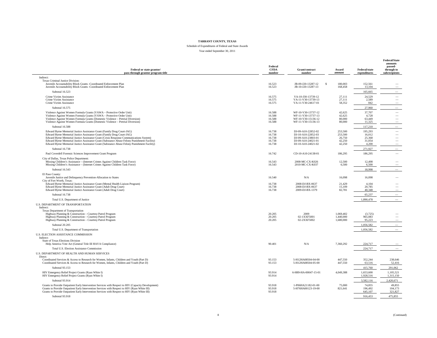#### Schedule of Expenditures of Federal and State Awards Year ended September 30, 2011

| Federal or state grantor/<br>pass-through grantor program title                                                                                                                                                                                                                                                                                                                                                                          | Federal<br><b>CFDA</b><br>number               | Grant/contract<br>number                                                                                   | Award<br>amount                                  | Federal/state<br>expenditures                  | <b>Federal/State</b><br>amounts<br>passed-<br>through to<br>subrecipients |
|------------------------------------------------------------------------------------------------------------------------------------------------------------------------------------------------------------------------------------------------------------------------------------------------------------------------------------------------------------------------------------------------------------------------------------------|------------------------------------------------|------------------------------------------------------------------------------------------------------------|--------------------------------------------------|------------------------------------------------|---------------------------------------------------------------------------|
| Indirect:                                                                                                                                                                                                                                                                                                                                                                                                                                |                                                |                                                                                                            |                                                  |                                                |                                                                           |
| Texas Criminal Justice Division:<br>Juvenile Accountability Block Grants -Coordinated Enforcement Plan<br>Juvenile Accountability Block Grants -Coordinated Enforcement Plan                                                                                                                                                                                                                                                             | 16.523<br>16.523                               | JB-09-J20-13287-12<br><sup>\$</sup><br>JB-10-J20-13287-13                                                  | 180,003<br>168,458                               | 152,561<br>13,104                              |                                                                           |
| Subtotal 16.523                                                                                                                                                                                                                                                                                                                                                                                                                          |                                                |                                                                                                            |                                                  | 165,665                                        |                                                                           |
| Crime Victim Assistance<br>Crime Victim Assistance<br>Crime Victim Assistance                                                                                                                                                                                                                                                                                                                                                            | 16.575<br>16.575<br>16.575                     | VA-10-J30-13739-12<br>VA-11-V30-13739-13<br>VA-11-V30-24617-01                                             | 27.111<br>27.111<br>58,352                       | 24.529<br>2.589<br>842                         | $\overline{\phantom{m}}$                                                  |
| Subtotal 16.575                                                                                                                                                                                                                                                                                                                                                                                                                          |                                                |                                                                                                            |                                                  | 27,960                                         |                                                                           |
| Violence Against Women Formula Grants (VAWA - Protective Order Unit)<br>Violence Against Women Formula Grants (VAWA - Protective Order Unit)<br>Violence Against Women Formula Grants (Domestic Violence - Pretrial Diversion)<br>Violence Against Women Formula Grants (Domestic Violence - Pretrial Diversion)                                                                                                                         | 16.588<br>16.588<br>16.588<br>16.588           | WF-10-V30-13737-12<br>WF-11-V30-13737-13<br>WF-10-V30-15136-12<br>WF-11-V30-15136-13                       | 42.625<br>42.625<br>80,000<br>80,000             | 37,707<br>4.728<br>63,449<br>11.325            | $\overline{\phantom{a}}$<br>$\overline{\phantom{0}}$                      |
| Subtotal 16.588                                                                                                                                                                                                                                                                                                                                                                                                                          |                                                |                                                                                                            |                                                  | 117,210                                        |                                                                           |
| Edward Byrne Memorial Justice Assistance Grant (Family Drug Court-JAG)<br>Edward Byrne Memorial Justice Assistance Grant (Family Drug Court-JAG)<br>Edward Byrne Memorial Justice Assistance Grant (Crisis Response Communications System)<br>Edward Byrne Memorial Justice Assistance Grant (Substance Abuse Felony Punishment Facility)<br>Edward Byrne Memorial Justice Assistance Grant (Substance Abuse Felony Punishment Facility) | 16.738<br>16.738<br>16.738<br>16.738<br>16.738 | DJ-09-A10-22852-02<br>DJ-10-A10-22852-03<br>DJ-09-A10-23803-01<br>DJ-09-A10-24021-01<br>DJ-10-A10-24021-02 | 253,500<br>253,500<br>26,750<br>42,250<br>42,250 | 195.293<br>16,012<br>25,368<br>31,054<br>4,200 | $\overline{\phantom{0}}$<br>-<br>$\overline{\phantom{0}}$                 |
| Subtotal 16.738                                                                                                                                                                                                                                                                                                                                                                                                                          |                                                |                                                                                                            |                                                  | 271,927                                        |                                                                           |
| Paul Coverdell Forensic Sciences Improvement Grant Program                                                                                                                                                                                                                                                                                                                                                                               | 16.742                                         | CD-10-A10-24138-01                                                                                         | 186,295                                          | 186,295                                        |                                                                           |
| City of Dallas, Texas Police Department:<br>Missing Children's Assistance - (Internet Crimes Against Children Task Force)<br>Missing Children's Assistance - (Internet Crimes Against Children Task Force)                                                                                                                                                                                                                               | 16.543<br>16.543                               | 2008-MC-CX-K026<br>2010-MC-CX-K037                                                                         | 12,500<br>6,500                                  | 12,498<br>6,500                                |                                                                           |
| Subtotal 16.543                                                                                                                                                                                                                                                                                                                                                                                                                          |                                                |                                                                                                            |                                                  | 18,998                                         |                                                                           |
| El Paso County:<br>Juvenile Justice and Delinquency Prevention-Allocation to States<br>City of Fort Worth, Texas:                                                                                                                                                                                                                                                                                                                        | 16.540                                         | N/A                                                                                                        | 16,098                                           | 16,098                                         |                                                                           |
| Edward Byrne Memorial Justice Assistance Grant (Mental Health Liaison Program)<br>Edward Byrne Memorial Justice Assistance Grant (Adult Drug Court)<br>Edward Byrne Memorial Justice Assistance Grant (Adult Drug Court)                                                                                                                                                                                                                 | 16.738<br>16.738<br>16.738                     | 2008-DJ-BX-0637<br>2008-DJ-BX-0637<br>2009-DJ-BX-1379                                                      | 21,429<br>15,109<br>82,781                       | 4,104<br>20,785<br>40.348                      |                                                                           |
| Subtotal 16.738                                                                                                                                                                                                                                                                                                                                                                                                                          |                                                |                                                                                                            |                                                  | 65,237                                         |                                                                           |
| Total U.S. Department of Justice                                                                                                                                                                                                                                                                                                                                                                                                         |                                                |                                                                                                            |                                                  | 1,890,478                                      |                                                                           |
| U.S. DEPARTMENT OF TRANSPORTATION                                                                                                                                                                                                                                                                                                                                                                                                        |                                                |                                                                                                            |                                                  |                                                |                                                                           |
| Indirect:<br>Texas Department of Transportation<br>Highway Planning & Construction - Courtesy Patrol Program<br>Highway Planning & Construction - Courtesy Patrol Program<br>Highway Planning & Construction - Courtesy Patrol Program                                                                                                                                                                                                   | 20.205<br>20.205<br>20.205                     | 2009<br>02-1XXF5001<br>02-2XXF5002                                                                         | 1,069,402<br>1,440,000<br>1,680,000              | (3,725)<br>965,083<br>95.223                   |                                                                           |
| Subtotal 20.205                                                                                                                                                                                                                                                                                                                                                                                                                          |                                                |                                                                                                            |                                                  | 1.056.582                                      |                                                                           |
| Total U.S. Department of Transportation                                                                                                                                                                                                                                                                                                                                                                                                  |                                                |                                                                                                            |                                                  | 1.056.582                                      |                                                                           |
| U.S. ELECTION ASSISTANCE COMMISSION                                                                                                                                                                                                                                                                                                                                                                                                      |                                                |                                                                                                            |                                                  |                                                |                                                                           |
| Indirect:<br>State of Texas Elections Division<br>Help America Vote Act (General Title III HAVA Compliance)                                                                                                                                                                                                                                                                                                                              | 90.401                                         | N/A                                                                                                        | 7,360,292                                        | 224,717                                        |                                                                           |
| Total U.S. Election Assistance Commission                                                                                                                                                                                                                                                                                                                                                                                                |                                                |                                                                                                            |                                                  | 224,717                                        |                                                                           |
| U.S. DEPARTMENT OF HEALTH AND HUMAN SERVICES<br>Direct:<br>Coordinated Services & Access to Research for Women, Infants, Children and Youth (Part D)                                                                                                                                                                                                                                                                                     | 93.153                                         | 5-H12HA08504-04-00                                                                                         | 447,550                                          | 352,244                                        | 238,646                                                                   |
| Coordinated Services & Access to Research for Women, Infants, Children and Youth (Part D)                                                                                                                                                                                                                                                                                                                                                | 93.153                                         | 5-H12HA08504-05-00                                                                                         | 447,550                                          | 63,516                                         | 52,416                                                                    |
| Subtotal 93.153                                                                                                                                                                                                                                                                                                                                                                                                                          |                                                |                                                                                                            |                                                  | 415,760                                        | 291,062                                                                   |
| HIV Emergency Relief Project Grants (Ryan White I)<br>HIV Emergency Relief Project Grants (Ryan White I)                                                                                                                                                                                                                                                                                                                                 | 93.914<br>93.914                               | 6-H89-HA-00047-15-01                                                                                       | 4.049.388                                        | 1.653.600<br>1,928,516                         | 1,105,521<br>1,315,150                                                    |
| Subtotal 93.914                                                                                                                                                                                                                                                                                                                                                                                                                          |                                                |                                                                                                            |                                                  | 3,582,116                                      | 2,420,671                                                                 |
| Grants to Provide Outpatient Early Intervention Services with Respect to HIV (Capacity Development)<br>Grants to Provide Outpatient Early Intervention Services with Respect to HIV (Ryan White III)<br>Grants to Provide Outpatient Early Intervention Services with Respect to HIV (Ryan White III)                                                                                                                                    | 93.918<br>93.918<br>93.918                     | 1-P06HA21182-01-00<br>5-H76HA00123-19-00                                                                   | 75,000<br>821,641                                | 74,855<br>196.492<br>645.107                   | 49,855<br>104.173<br>321.827                                              |
| Subtotal 93.918                                                                                                                                                                                                                                                                                                                                                                                                                          |                                                |                                                                                                            |                                                  | 916,453                                        | 475.855                                                                   |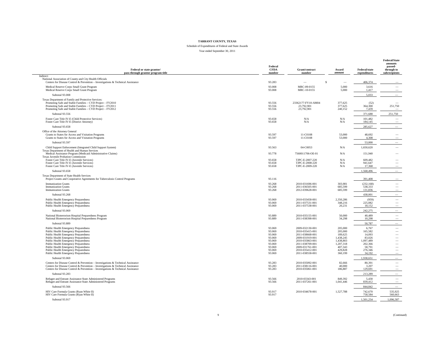#### Schedule of Expenditures of Federal and State Awards Year ended September 30, 2011

| Federal or state grantor/<br>pass-through grantor program title                                                                                                                                                                            | Federal<br><b>CFDA</b><br>number | Grant/contract<br>number                       | Award<br>amount               | <b>Federal/state</b><br>expenditures | <b>Federal/State</b><br>amounts<br>passed-<br>through to<br>subrecipients |
|--------------------------------------------------------------------------------------------------------------------------------------------------------------------------------------------------------------------------------------------|----------------------------------|------------------------------------------------|-------------------------------|--------------------------------------|---------------------------------------------------------------------------|
| Indirect:<br>National Association of County and City Health Officials                                                                                                                                                                      |                                  |                                                |                               |                                      |                                                                           |
| Centers for Disease Control & Prevention - Investigations & Technical Assistance                                                                                                                                                           | 93.283                           | \$                                             |                               | 406,374                              |                                                                           |
| Medical Reserve Corps Small Grant Program<br>Medical Reserve Corps Small Grant Program                                                                                                                                                     | 93.008<br>93.008                 | MRC-09-0155<br>MRC-10-0155                     | 5,000<br>5,000                | 3,616<br>1,417                       |                                                                           |
| Subtotal 93.008                                                                                                                                                                                                                            |                                  |                                                |                               | 5,033                                |                                                                           |
| Texas Department of Family and Protective Services:<br>Promoting Safe and Stable Families - CYD Project - FY2010<br>Promoting Safe and Stable Families - CYD Project - FY2011<br>Promoting Safe and Stable Families - CYD Project - FY2012 | 93.556<br>93.556<br>93.556       | 23362177-FY10-AM04<br>23,792,901<br>23,792,901 | 377,625<br>377,625<br>240,152 | (52)<br>364,300<br>7,439             | 251,750                                                                   |
| Subtotal 93.556                                                                                                                                                                                                                            |                                  |                                                |                               | 371.688                              | 251,750                                                                   |
| Foster Care Title IV-E (Child Protective Services)<br>Foster Care Title IV-E (District Attorney)                                                                                                                                           | 93.658<br>93.658                 | N/A<br>N/A                                     | N/A<br>${\bf N/A}$            | 101,482<br>184,145                   |                                                                           |
| Subtotal 93.658                                                                                                                                                                                                                            |                                  |                                                |                               | 285,627                              | $\hspace{1.0cm} \rule{1.5cm}{0.15cm}$                                     |
| Office of the Attorney General<br>Grants to States for Access and Visitation Programs<br>Grants to States for Access and Visitation Programs                                                                                               | 93.597<br>93.597                 | 11-C0108<br>11-C0108                           | 53,000<br>53,000              | 48.692<br>4,308                      |                                                                           |
| Subtotal 93.597                                                                                                                                                                                                                            |                                  |                                                |                               | 53,000                               |                                                                           |
| Child Support Enforcement (Integrated Child Support System)<br>Texas Department of Health and Human Services                                                                                                                               | 93.563                           | 04-C0053                                       | N/A                           | 1,650,620                            |                                                                           |
| Medical Assistance Program (Medicaid Administrative Claims)<br>Texas Juvenile Probation Commission                                                                                                                                         | 93.778                           | 7560011706-OE-01                               | N/A                           | 151,940                              |                                                                           |
| Foster Care Title IV-E (Juvenile Services)<br>Foster Care Title IV-E (Juvenile Services)                                                                                                                                                   | 93.658<br>93.658                 | TJPC-E-2007-220<br>TJPC-E-2008-220             | N/A<br>N/A                    | 609,482<br>941,647                   |                                                                           |
| Foster Care Title IV-E (Juvenile Services)                                                                                                                                                                                                 | 93.658                           | TJPC-E-2009-220                                | N/A                           | 17,368                               |                                                                           |
| Subtotal 93.658                                                                                                                                                                                                                            |                                  |                                                |                               | 1,568,496                            |                                                                           |
| Texas Department of State Health Services<br>Project Grants and Cooperative Agreements for Tuberculosis Control Programs                                                                                                                   | 93.116                           |                                                |                               | 391.408                              |                                                                           |
| <b>Immunization Grants</b>                                                                                                                                                                                                                 | 93.268                           | 2010-031696-001                                | 303,981                       | (232, 168)                           | -                                                                         |
| <b>Immunization Grants</b><br><b>Immunization Grants</b>                                                                                                                                                                                   | 93.268<br>93.268                 | 2011-036505-001<br>2012-039628-001             | 685.599<br>685,599            | 538,333<br>131,836                   |                                                                           |
| Subtotal 93.268                                                                                                                                                                                                                            |                                  |                                                |                               | 438,001                              |                                                                           |
| Public Health Emergency Preparedness                                                                                                                                                                                                       | 93.069                           | 2010-033458-001                                | 2,350,286                     | (959)                                |                                                                           |
| Public Health Emergency Preparedness<br>Public Health Emergency Preparedness                                                                                                                                                               | 93.069<br>93.069                 | 2011-037531-001<br>2011-037538-001             | 348,216<br>20,231             | 225,082<br>18.152                    | $\overline{\phantom{0}}$                                                  |
| Subtotal 93,069                                                                                                                                                                                                                            |                                  |                                                |                               | 242,275                              |                                                                           |
| National Bioterrorism Hospital Preparedness Program                                                                                                                                                                                        | 93.889                           | 2010-035155-001                                | 50,000                        | 40.489                               | $\overline{\phantom{0}}$                                                  |
| National Bioterrorism Hospital Preparedness Program                                                                                                                                                                                        | 93.889                           | 2011-038398-001                                | 34,298                        | 10,298                               |                                                                           |
| Subtotal 93.889                                                                                                                                                                                                                            | 93.069                           |                                                |                               | 50,787                               |                                                                           |
| Public Health Emergency Preparedness<br>Public Health Emergency Preparedness                                                                                                                                                               | 93.069                           | 2009-032130-001<br>2010-035415-001             | 205,000<br>205,000            | 6,767<br>165,582                     | $\overline{\phantom{0}}$<br>$\overline{\phantom{a}}$                      |
| Public Health Emergency Preparedness                                                                                                                                                                                                       | 93.069                           | 2011-038668-001                                | 189,625                       | 14,093                               | $\overline{\phantom{a}}$                                                  |
| Public Health Emergency Preparedness<br>Public Health Emergency Preparedness                                                                                                                                                               | 93.069<br>93.069                 | 2009-031919-001<br>2010-035863-001             | 1,438,245<br>1,438,803        | 83,026<br>1,097,489                  | $\overline{\phantom{a}}$<br>$\qquad \qquad -$                             |
| Public Health Emergency Preparedness                                                                                                                                                                                                       | 93.069                           | 2011-038709-001                                | 1,207,318                     | 202,366                              | $\overline{\phantom{0}}$                                                  |
| Public Health Emergency Preparedness                                                                                                                                                                                                       | 93.069                           | 2009-031761-001                                | 407,343                       | 58,791                               | $\overline{\phantom{m}}$                                                  |
| Public Health Emergency Preparedness<br>Public Health Emergency Preparedness                                                                                                                                                               | 93.069<br>93.069                 | 2010-035412-001<br>2011-038558-001             | 429,828<br>360,199            | 276,346<br>34,192                    | $\overline{\phantom{a}}$                                                  |
| Subtotal 93,069                                                                                                                                                                                                                            |                                  |                                                |                               | 1.938.651                            |                                                                           |
| Centers for Disease Control & Prevention - Investigations & Technical Assistance                                                                                                                                                           | 93.283                           | 2010-035092-001                                | 82,666                        | 80.391                               | $\overline{\phantom{0}}$                                                  |
| Centers for Disease Control & Prevention - Investigations & Technical Assistance<br>Centers for Disease Control & Prevention - Investigations & Technical Assistance                                                                       | 93.283<br>93.283                 | 2011-038116-001<br>2010-035061-001             | 40,000<br>186,887             | 3,207<br>129,691                     |                                                                           |
| Subtotal 93.283                                                                                                                                                                                                                            |                                  |                                                |                               | 213,289                              |                                                                           |
| Refugee and Entrant Assistance-State Administered Programs<br>Refugee and Entrant Assistance-State Administered Programs                                                                                                                   | 93.566<br>93.566                 | 2010-03343-001<br>2011-037261-001              | 849,392<br>1,041,446          | 5,430<br>839,412                     |                                                                           |
| Subtotal 93,566                                                                                                                                                                                                                            |                                  |                                                |                               | 844,842                              | $\overline{\phantom{a}}$                                                  |
| HIV Care Formula Grants (Ryan White II)<br>HIV Care Formula Grants (Ryan White II)                                                                                                                                                         | 93.917<br>93.917                 | 2010-034678-001                                | 1,527,788                     | 742,670<br>758.584                   | 535,925<br>560,663                                                        |
| Subtotal 93.917                                                                                                                                                                                                                            |                                  |                                                |                               | 1,501,254                            | 1,096,587                                                                 |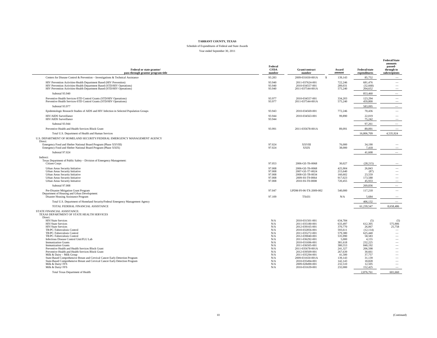Schedule of Expenditures of Federal and State Awards Year ended September 30, 2011

| Federal or state grantor/<br>pass-through grantor program title                                                                                                                                                                                                                                                                                                                                                                                                                                                                                                                                                                                      | Federal<br><b>CFDA</b><br>number                                                                             | Grant/contract<br>number                                                                                                                                                                                                                                                                                       | Award<br>amount                                                                                                                                                           | <b>Federal/state</b><br>expenditures                                                                                                                                           | <b>Federal/State</b><br>amounts<br>passed-<br>through to<br>subrecipients                                                                                                                                                               |
|------------------------------------------------------------------------------------------------------------------------------------------------------------------------------------------------------------------------------------------------------------------------------------------------------------------------------------------------------------------------------------------------------------------------------------------------------------------------------------------------------------------------------------------------------------------------------------------------------------------------------------------------------|--------------------------------------------------------------------------------------------------------------|----------------------------------------------------------------------------------------------------------------------------------------------------------------------------------------------------------------------------------------------------------------------------------------------------------------|---------------------------------------------------------------------------------------------------------------------------------------------------------------------------|--------------------------------------------------------------------------------------------------------------------------------------------------------------------------------|-----------------------------------------------------------------------------------------------------------------------------------------------------------------------------------------------------------------------------------------|
| Centers for Disease Control & Prevention - Investigations & Technical Assistance                                                                                                                                                                                                                                                                                                                                                                                                                                                                                                                                                                     | 93.283                                                                                                       | 2009-031650-001A<br>$\mathbf{\hat{s}}$                                                                                                                                                                                                                                                                         | 139,143                                                                                                                                                                   | 85,752                                                                                                                                                                         |                                                                                                                                                                                                                                         |
| HIV Prevention Activities-Health Department Based (HIV Prevention)<br>HIV Prevention Activities-Health Department Based (STD/HIV Operations)<br>HIV Prevention Activities-Health Department Based (STD/HIV Operations)                                                                                                                                                                                                                                                                                                                                                                                                                               | 93.940<br>93.940<br>93.940                                                                                   | 2011-037624-001<br>2010-034557-001<br>2011-037544-001A                                                                                                                                                                                                                                                         | 722,246<br>289,031<br>575,240                                                                                                                                             | 681,476<br>(32, 668)<br>204,652                                                                                                                                                | $\overline{\phantom{a}}$                                                                                                                                                                                                                |
| Subtotal 93,940                                                                                                                                                                                                                                                                                                                                                                                                                                                                                                                                                                                                                                      |                                                                                                              |                                                                                                                                                                                                                                                                                                                |                                                                                                                                                                           | 853,460                                                                                                                                                                        |                                                                                                                                                                                                                                         |
| Preventive Health Services-STD Control Grants (STD/HIV Operations)<br>Preventive Health Services-STD Control Grants (STD/HIV Operations)                                                                                                                                                                                                                                                                                                                                                                                                                                                                                                             | 93.977<br>93.977                                                                                             | 2010-034557-001<br>2011-037544-001A                                                                                                                                                                                                                                                                            | 334,203<br>575,240                                                                                                                                                        | 123,294<br>459,800                                                                                                                                                             | $\overline{\phantom{m}}$<br>$\overline{\phantom{a}}$                                                                                                                                                                                    |
| Subtotal 93.977                                                                                                                                                                                                                                                                                                                                                                                                                                                                                                                                                                                                                                      |                                                                                                              |                                                                                                                                                                                                                                                                                                                |                                                                                                                                                                           | 583,095                                                                                                                                                                        | $\overline{\phantom{0}}$                                                                                                                                                                                                                |
| Epidemiologic Research Studies of AIDS and HIV Infection in Selected Population Groups                                                                                                                                                                                                                                                                                                                                                                                                                                                                                                                                                               | 93.943                                                                                                       | 2010-034569-001                                                                                                                                                                                                                                                                                                | 772,246                                                                                                                                                                   | 70.436                                                                                                                                                                         | $\overline{\phantom{a}}$                                                                                                                                                                                                                |
| HIV/AIDS Surveillance<br>HIV/AIDS Surveillance                                                                                                                                                                                                                                                                                                                                                                                                                                                                                                                                                                                                       | 93.944<br>93.944                                                                                             | 2010-034563-001                                                                                                                                                                                                                                                                                                | 99,890                                                                                                                                                                    | 22,019<br>75,242                                                                                                                                                               |                                                                                                                                                                                                                                         |
| Subtotal 93.944                                                                                                                                                                                                                                                                                                                                                                                                                                                                                                                                                                                                                                      |                                                                                                              |                                                                                                                                                                                                                                                                                                                |                                                                                                                                                                           | 97.261                                                                                                                                                                         | $\overline{\phantom{0}}$                                                                                                                                                                                                                |
| Preventive Health and Health Services Block Grant                                                                                                                                                                                                                                                                                                                                                                                                                                                                                                                                                                                                    | 93.991                                                                                                       | 2011-035678-001A                                                                                                                                                                                                                                                                                               | 89,091                                                                                                                                                                    | 89,091                                                                                                                                                                         |                                                                                                                                                                                                                                         |
| Total U.S. Department of Health and Human Services                                                                                                                                                                                                                                                                                                                                                                                                                                                                                                                                                                                                   |                                                                                                              |                                                                                                                                                                                                                                                                                                                |                                                                                                                                                                           | 16,806,709                                                                                                                                                                     | 4.535.924                                                                                                                                                                                                                               |
| U.S. DEPARTMENT OF HOMELAND SECURITY/FEDERAL EMERGENCY MANAGEMENT AGENCY<br>Direct:<br>Emergency Food and Shelter National Board Program (Phase XXVIII)<br>Emergency Food and Shelter National Board Program (Phase XXIX)                                                                                                                                                                                                                                                                                                                                                                                                                            | 97.024<br>97.024                                                                                             | <b>XXVIII</b><br><b>XXIX</b>                                                                                                                                                                                                                                                                                   | 76,000<br>38,000                                                                                                                                                          | 34,190<br>7.418                                                                                                                                                                |                                                                                                                                                                                                                                         |
| Subtotal 97.024                                                                                                                                                                                                                                                                                                                                                                                                                                                                                                                                                                                                                                      |                                                                                                              |                                                                                                                                                                                                                                                                                                                |                                                                                                                                                                           | 41,608                                                                                                                                                                         |                                                                                                                                                                                                                                         |
| Indirect:                                                                                                                                                                                                                                                                                                                                                                                                                                                                                                                                                                                                                                            |                                                                                                              |                                                                                                                                                                                                                                                                                                                |                                                                                                                                                                           |                                                                                                                                                                                |                                                                                                                                                                                                                                         |
| Texas Department of Public Safety - Division of Emergency Management:<br>Citizen Corps                                                                                                                                                                                                                                                                                                                                                                                                                                                                                                                                                               | 97.053                                                                                                       | 2006-GE-T6-0068                                                                                                                                                                                                                                                                                                | 30,027                                                                                                                                                                    | (28, 215)                                                                                                                                                                      |                                                                                                                                                                                                                                         |
| Urban Areas Security Initiative<br>Urban Areas Security Initiative<br>Urban Areas Security Initiative<br>Urban Areas Security Initiative<br>Urban Areas Security Initiative                                                                                                                                                                                                                                                                                                                                                                                                                                                                          | 97.008<br>97.008<br>97.008<br>97.008<br>97.008                                                               | 2006-GE-T6-0068<br>2007-GE-T7-0024<br>2008-GE-T8-0034<br>2009-SS-T9-0064<br>2010-SS-T0-0008                                                                                                                                                                                                                    | 425,904<br>215,640<br>160,602<br>917,023<br>720,455                                                                                                                       | 26,843<br>(87)<br>23,559<br>173,588<br>45,933                                                                                                                                  | $\overline{\phantom{a}}$                                                                                                                                                                                                                |
| Subtotal 97.008<br>Pre-Disaster Mitigation Grant Program                                                                                                                                                                                                                                                                                                                                                                                                                                                                                                                                                                                             | 97.047                                                                                                       | LPDM-PJ-06-TX-2009-002                                                                                                                                                                                                                                                                                         | 540,000                                                                                                                                                                   | 269,836<br>117,218                                                                                                                                                             | $\hspace{1.0cm} \rule{1.5cm}{0.15cm}$                                                                                                                                                                                                   |
| Department of Housing and Urban Development:<br>Disaster Housing Assistance Program                                                                                                                                                                                                                                                                                                                                                                                                                                                                                                                                                                  | 97.109                                                                                                       | TX431                                                                                                                                                                                                                                                                                                          | N/A                                                                                                                                                                       | 5.684                                                                                                                                                                          | $\hspace{0.1mm}-\hspace{0.1mm}$                                                                                                                                                                                                         |
| Total U.S. Department of Homeland Security/Federal Emergency Management Agency                                                                                                                                                                                                                                                                                                                                                                                                                                                                                                                                                                       |                                                                                                              |                                                                                                                                                                                                                                                                                                                |                                                                                                                                                                           | 406,132                                                                                                                                                                        | $\overline{\phantom{m}}$                                                                                                                                                                                                                |
| TOTAL FEDERAL FINANCIAL ASSISTANCE                                                                                                                                                                                                                                                                                                                                                                                                                                                                                                                                                                                                                   |                                                                                                              |                                                                                                                                                                                                                                                                                                                |                                                                                                                                                                           | 61,239,547                                                                                                                                                                     | 8.658.486                                                                                                                                                                                                                               |
| STATE FINANCIAL ASSISTANCE:<br>TEXAS DEPARTMENT OF STATE HEALTH SERVICES<br>Direct:                                                                                                                                                                                                                                                                                                                                                                                                                                                                                                                                                                  |                                                                                                              |                                                                                                                                                                                                                                                                                                                |                                                                                                                                                                           |                                                                                                                                                                                |                                                                                                                                                                                                                                         |
| HIV/State Services<br>HIV/State Services<br>HIV/State Services<br>TB/PC-Tuberculosis Control<br>TB/PC-Tuberculosis Control<br>TB/PC-Tuberculosis Control<br>Infectious Disease Control Unit/FLU Lab<br><b>Immunization Grants</b><br><b>Immunization Grants</b><br>Preventive Health and Health Services Block Grant<br>Preventive Health and Health Services Block Grant<br>Milk & Dairy - Milk Group<br>State-Based Comprehensive Breast and Cervical Cancer Early Detection Program<br>State-Based Comprehensive Breast and Cervical Cancer Early Detection Program<br>Milk & Dairy/ FFS<br>Milk & Dairy/ FFS<br>Total Texas Department of Health | N/A<br>N/A<br>N/A<br>N/A<br>N/A<br>N/A<br>N/A<br>N/A<br>N/A<br>N/A<br>N/A<br>N/A<br>N/A<br>N/A<br>N/A<br>N/A | 2010-031501-001<br>2011-035180-001<br>2012-039165-001<br>2010-032856-001<br>2011-035272-001<br>2012-039040-001<br>2011-036292-001<br>2010-031696-001<br>2011-036505-001<br>2011-035678-001A<br>2012-039509-001<br>2011-035294-001<br>2009-031650-001A<br>2010-035494-001<br>2009-028490-001<br>2010-031639-001 | 634,784<br>633,497<br>370,770<br>593.611<br>579.380<br>535,990<br>5,000<br>381,618<br>380.553<br>241,327<br>267,639<br>41,500<br>139.143<br>142,143<br>232,510<br>232,000 | (5)<br>612,305<br>26,067<br>(12, 114)<br>625.440<br>58,583<br>4,155<br>232.225<br>840.192<br>206,598<br>30,661<br>37,757<br>31.139<br>18,828<br>12,505<br>152.425<br>2,876,761 | (5)<br>575,906<br>25,758<br>$\overline{\phantom{a}}$<br>$\overline{\phantom{a}}$<br>$\overline{\phantom{0}}$<br>$\overline{\phantom{a}}$<br>$\overline{\phantom{0}}$<br>$\overline{\phantom{a}}$<br>$\overline{\phantom{a}}$<br>601,660 |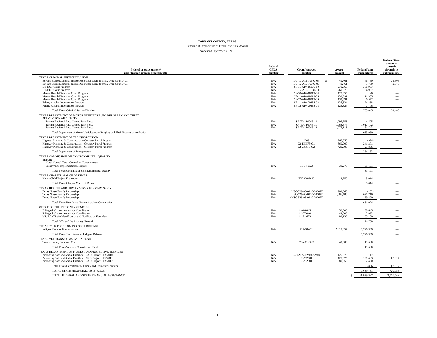Schedule of Expenditures of Federal and State Awards Year ended September 30, 2011

| Federal or state grantor/<br>pass-through grantor program title                                                                                                                                                                                                                                                                                                                                                                                            | Federal<br><b>CFDA</b><br>number                            | Grant/contract<br>number                                                                                                                                                                                 | Award<br>amount                                                                               | Federal/state<br>expenditures                                                      | <b>Federal/State</b><br>amounts<br>passed-<br>through to<br>subrecipients                                                       |
|------------------------------------------------------------------------------------------------------------------------------------------------------------------------------------------------------------------------------------------------------------------------------------------------------------------------------------------------------------------------------------------------------------------------------------------------------------|-------------------------------------------------------------|----------------------------------------------------------------------------------------------------------------------------------------------------------------------------------------------------------|-----------------------------------------------------------------------------------------------|------------------------------------------------------------------------------------|---------------------------------------------------------------------------------------------------------------------------------|
| TEXAS CRIMINAL JUSTICE DIVISION<br>Edward Byrne Memorial Justice Assistance Grant (Family Drug Court-JAG)<br>Edward Byrne Memorial Justice Assistance Grant (Family Drug Court-JAG)<br><b>DIRECT Court Program</b><br><b>DIRECT Court Program</b><br>Mental Health Diversion Court Program<br>Mental Health Diversion Court Program<br>Mental Health Diversion Court Program<br>Felony Alcohol Intervention Program<br>Felony Alcohol Intervention Program | N/A<br>N/A<br>N/A<br>N/A<br>N/A<br>N/A<br>N/A<br>N/A<br>N/A | DC-10-A11-19697-04<br>-S<br>DC-12-A10-19697-05<br>SF-11-A10-16036-10<br>DC-12-A10-16036-11<br>SF-10-A10-18289-04<br>SF-11-A10-18289-05<br>SF-12-A10-18289-06<br>SF-11-A10-20458-02<br>SF-12-A10-20458-03 | 49,761<br>49,761<br>270,668<br>260,875<br>120.355<br>132,391<br>132,391<br>126,824<br>126,824 | 46,750<br>3,730<br>366,907<br>34,997<br>90<br>111,335<br>6,572<br>124,888<br>7,776 | 31,605<br>2,875<br>$\overline{\phantom{a}}$<br>$\overline{\phantom{a}}$<br>$\overline{\phantom{a}}$<br>$\overline{\phantom{0}}$ |
| <b>Total Texas Criminal Justice Division</b>                                                                                                                                                                                                                                                                                                                                                                                                               |                                                             |                                                                                                                                                                                                          |                                                                                               | 703,045                                                                            | 34,480                                                                                                                          |
| TEXAS DEPARTMENT OF MOTOR VEHICLES/AUTO BURGLARY AND THEFT<br>PREVENTION AUTHORITY<br>Tarrant Regional Auto Crimes Task Force<br>Tarrant Regional Auto Crimes Task Force<br>Tarrant Regional Auto Crimes Task Force<br>Total Department of Motor Vehicles/Auto Burglary and Theft Prevention Authority                                                                                                                                                     | N/A<br>N/A<br>N/A                                           | SA-T01-10065-10<br>SA-T01-10065-11<br>SA-T01-10065-12                                                                                                                                                    | 1,097,753<br>1,068,674<br>1,076,113                                                           | 4,505<br>1.017.702<br>61,743<br>1.083.950                                          | $\overline{\phantom{a}}$<br>$\overline{\phantom{a}}$                                                                            |
| TEXAS DEPARTMENT OF TRANSPORTATION                                                                                                                                                                                                                                                                                                                                                                                                                         |                                                             |                                                                                                                                                                                                          |                                                                                               |                                                                                    |                                                                                                                                 |
| Highway Planning & Construction - Courtesy Patrol Program<br>Highway Planning & Construction - Courtesy Patrol Program<br>Highway Planning & Construction - Courtesy Patrol Program                                                                                                                                                                                                                                                                        | N/A<br>N/A<br>N/A                                           | 2009<br>02-1XXF5001<br>02-2XXF5002                                                                                                                                                                       | 267,350<br>360,000<br>420,000                                                                 | (924)<br>241.271<br>23,806                                                         |                                                                                                                                 |
| Total Department of Transportation                                                                                                                                                                                                                                                                                                                                                                                                                         |                                                             |                                                                                                                                                                                                          |                                                                                               | 264.153                                                                            |                                                                                                                                 |
| TEXAS COMMISSION ON ENVIRONMENTAL QUALITY<br>Indirect:<br>North Central Texas Council of Governments:<br>Solid Waste Implementation Project                                                                                                                                                                                                                                                                                                                | N/A                                                         | 11-04-G23                                                                                                                                                                                                | 31,276                                                                                        | 31,191                                                                             |                                                                                                                                 |
| Total Texas Commission on Environmental Quality                                                                                                                                                                                                                                                                                                                                                                                                            |                                                             |                                                                                                                                                                                                          |                                                                                               | 31,191                                                                             | $\overline{\phantom{0}}$                                                                                                        |
| TEXAS CHAPTER MARCH OF DIMES<br>Honey Child Project Evaluation                                                                                                                                                                                                                                                                                                                                                                                             | N/A                                                         | FY2009/2010                                                                                                                                                                                              | 3,750                                                                                         | 5,014                                                                              |                                                                                                                                 |
| Total Texas Chapter March of Dimes                                                                                                                                                                                                                                                                                                                                                                                                                         |                                                             |                                                                                                                                                                                                          |                                                                                               | 5,014                                                                              |                                                                                                                                 |
| TEXAS HEALTH AND HUMAN SERVICES COMMISSION<br>Texas Nurse-Family Partnership<br>Texas Nurse-Family Partnership<br>Texas Nurse-Family Partnership                                                                                                                                                                                                                                                                                                           | N/A<br>N/A<br>N/A                                           | HHSC-529-08-0110-00007D<br>HHSC-529-08-0110-00007D<br>HHSC-529-08-0110-00007D                                                                                                                            | 909,668<br>1,086,488                                                                          | (132)<br>621,716<br>59,490                                                         |                                                                                                                                 |
| Total Texas Health and Human Services Commission                                                                                                                                                                                                                                                                                                                                                                                                           |                                                             |                                                                                                                                                                                                          |                                                                                               | 681.074                                                                            |                                                                                                                                 |
| OFFICE OF THE ATTORNEY GENERAL<br><b>Bilingual Victims Assistance Coordinator</b><br><b>Bilingual Victims Assistance Coordinator</b><br>V.I.N.E.-Victim Identification and Notification Everyday                                                                                                                                                                                                                                                           | N/A<br>N/A<br>N/A                                           | 1,016,815<br>1.227.040<br>1,121,623                                                                                                                                                                      | 50,000<br>42,000<br>83,130                                                                    | 38,645<br>2.963<br>83.130                                                          |                                                                                                                                 |
| Total Office of the Attorney General                                                                                                                                                                                                                                                                                                                                                                                                                       |                                                             |                                                                                                                                                                                                          |                                                                                               | 124.738                                                                            |                                                                                                                                 |
| TEXAS TASK FORCE ON INDIGENT DEFENSE<br>Indigent Defense Formula Grant                                                                                                                                                                                                                                                                                                                                                                                     | N/A                                                         | 212-10-220                                                                                                                                                                                               | 2,018,057                                                                                     | 1.726.369                                                                          |                                                                                                                                 |
| Total Texas Task Force on Indigent Defense                                                                                                                                                                                                                                                                                                                                                                                                                 |                                                             |                                                                                                                                                                                                          |                                                                                               | 1,726,369                                                                          |                                                                                                                                 |
| TEXAS VETERANS COMMISSION FUND<br><b>Tarrant County Veterans Court</b>                                                                                                                                                                                                                                                                                                                                                                                     | N/A                                                         | FVA-11-0021                                                                                                                                                                                              | 40,000                                                                                        | 19.590                                                                             |                                                                                                                                 |
| Total Texas Veterans Commission Fund                                                                                                                                                                                                                                                                                                                                                                                                                       |                                                             |                                                                                                                                                                                                          |                                                                                               | 19,590                                                                             | $\overline{\phantom{0}}$                                                                                                        |
| TEXAS DEPARTMENT OF FAMILY AND PROTECTIVE SERVICES<br>Promoting Safe and Stable Families - CYD Project - FY2010<br>Promoting Safe and Stable Families - CYD Project - FY2011<br>Promoting Safe and Stable Families - CYD Project - FY2012                                                                                                                                                                                                                  | N/A<br>N/A<br>N/A                                           | 23362177-FY10-AM04<br>23792901<br>23792901                                                                                                                                                               | 125,875<br>125,875<br>80,050                                                                  | (17)<br>121,433<br>2,480                                                           | 83,917                                                                                                                          |
| Total Texas Department of Family and Protective Services                                                                                                                                                                                                                                                                                                                                                                                                   |                                                             |                                                                                                                                                                                                          |                                                                                               | 123,896                                                                            | 83,917                                                                                                                          |
| TOTAL STATE FINANCIAL ASSISTANCE<br>TOTAL FEDERAL AND STATE FINANCIAL ASSISTANCE                                                                                                                                                                                                                                                                                                                                                                           |                                                             |                                                                                                                                                                                                          | ¢                                                                                             | 7.639.781<br>68,879,327                                                            | 720,056<br>9.378.542                                                                                                            |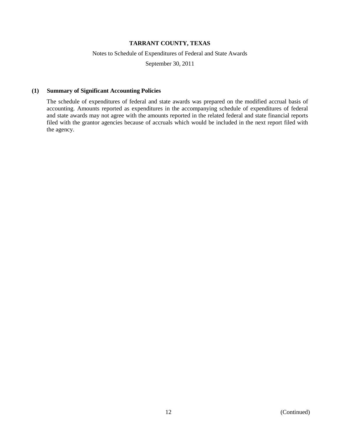### Notes to Schedule of Expenditures of Federal and State Awards

September 30, 2011

#### **(1) Summary of Significant Accounting Policies**

The schedule of expenditures of federal and state awards was prepared on the modified accrual basis of accounting. Amounts reported as expenditures in the accompanying schedule of expenditures of federal and state awards may not agree with the amounts reported in the related federal and state financial reports filed with the grantor agencies because of accruals which would be included in the next report filed with the agency.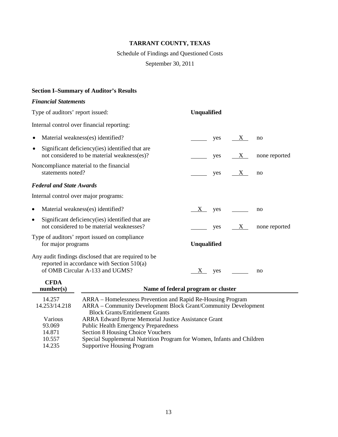Schedule of Findings and Questioned Costs

September 30, 2011

# **Section I–Summary of Auditor's Results**

# *Financial Statements*

| Type of auditors' report issued: |                                                                                                                                                                         | Unqualified                        |     |   |               |  |
|----------------------------------|-------------------------------------------------------------------------------------------------------------------------------------------------------------------------|------------------------------------|-----|---|---------------|--|
|                                  | Internal control over financial reporting:                                                                                                                              |                                    |     |   |               |  |
|                                  | Material weakness(es) identified?                                                                                                                                       |                                    | yes | X | no            |  |
| ٠                                | Significant deficiency (ies) identified that are<br>not considered to be material weakness(es)?                                                                         |                                    | yes | X | none reported |  |
| statements noted?                | Noncompliance material to the financial                                                                                                                                 |                                    | yes | X | no            |  |
| <b>Federal and State Awards</b>  |                                                                                                                                                                         |                                    |     |   |               |  |
|                                  | Internal control over major programs:                                                                                                                                   |                                    |     |   |               |  |
| $\bullet$                        | Material weakness(es) identified?                                                                                                                                       | X                                  | yes |   | no            |  |
| $\bullet$                        | Significant deficiency (ies) identified that are<br>not considered to be material weaknesses?                                                                           |                                    | yes | X | none reported |  |
| for major programs               | Type of auditors' report issued on compliance                                                                                                                           | Unqualified                        |     |   |               |  |
| <b>CFDA</b>                      | Any audit findings disclosed that are required to be<br>reported in accordance with Section 510(a)<br>of OMB Circular A-133 and UGMS?                                   | X                                  | yes |   | no            |  |
| number(s)                        |                                                                                                                                                                         | Name of federal program or cluster |     |   |               |  |
| 14.257<br>14.253/14.218          | ARRA – Homelessness Prevention and Rapid Re-Housing Program<br>ARRA - Community Development Block Grant/Community Development<br><b>Block Grants/Entitlement Grants</b> |                                    |     |   |               |  |
| Various<br>93.069<br>14.871      | <b>ARRA Edward Byrne Memorial Justice Assistance Grant</b><br><b>Public Health Emergency Preparedness</b><br>Section 8 Housing Choice Vouchers                          |                                    |     |   |               |  |
| 10.557                           | Special Supplemental Nutrition Program for Women, Infants and Children                                                                                                  |                                    |     |   |               |  |

14.235 Supportive Housing Program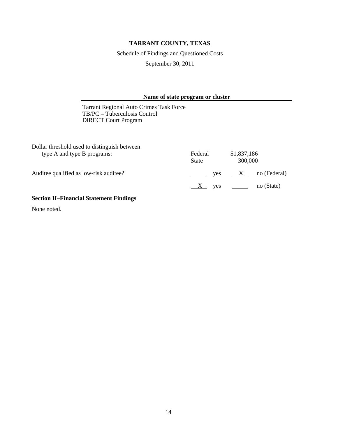Schedule of Findings and Questioned Costs

September 30, 2011

### **Name of state program or cluster**

Tarrant Regional Auto Crimes Task Force TB/PC – Tuberculosis Control DIRECT Court Program

| Federal      | \$1,837,186                  |
|--------------|------------------------------|
| <b>State</b> | 300,000                      |
| ves          | no (Federal)<br>$\mathbf{X}$ |
| X yes        | no (State)                   |
|              |                              |

# **Section II–Financial Statement Findings**

None noted.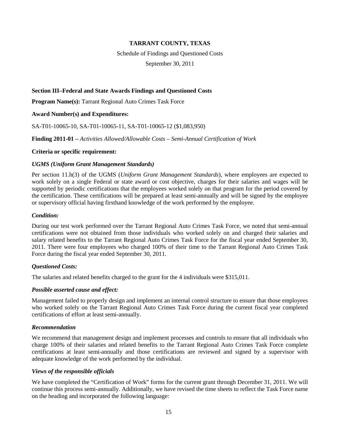Schedule of Findings and Questioned Costs

September 30, 2011

### **Section III–Federal and State Awards Findings and Questioned Costs**

**Program Name(s):** Tarrant Regional Auto Crimes Task Force

### **Award Number(s) and Expenditures:**

SA-T01-10065-10, SA-T01-10065-11, SA-T01-10065-12 (\$1,083,950)

**Finding 2011-01 –** *Activities Allowed/Allowable Costs – Semi-Annual Certification of Work*

#### **Criteria or specific requirement:**

#### *UGMS (Uniform Grant Management Standards)*

Per section 11.h(3) of the UGMS (*Uniform Grant Management Standards*), where employees are expected to work solely on a single Federal or state award or cost objective, charges for their salaries and wages will be supported by periodic certifications that the employees worked solely on that program for the period covered by the certification. These certifications will be prepared at least semi-annually and will be signed by the employee or supervisory official having firsthand knowledge of the work performed by the employee.

#### *Condition:*

During our test work performed over the Tarrant Regional Auto Crimes Task Force, we noted that semi-annual certifications were not obtained from those individuals who worked solely on and charged their salaries and salary related benefits to the Tarrant Regional Auto Crimes Task Force for the fiscal year ended September 30, 2011. There were four employees who charged 100% of their time to the Tarrant Regional Auto Crimes Task Force during the fiscal year ended September 30, 2011.

### *Questioned Costs:*

The salaries and related benefits charged to the grant for the 4 individuals were \$315,011.

### *Possible asserted cause and effect:*

Management failed to properly design and implement an internal control structure to ensure that those employees who worked solely on the Tarrant Regional Auto Crimes Task Force during the current fiscal year completed certifications of effort at least semi-annually.

#### *Recommendation*

We recommend that management design and implement processes and controls to ensure that all individuals who charge 100% of their salaries and related benefits to the Tarrant Regional Auto Crimes Task Force complete certifications at least semi-annually and those certifications are reviewed and signed by a supervisor with adequate knowledge of the work performed by the individual.

### *Views of the responsible officials*

We have completed the "Certification of Work" forms for the current grant through December 31, 2011. We will continue this process semi-annually. Additionally, we have revised the time sheets to reflect the Task Force name on the heading and incorporated the following language: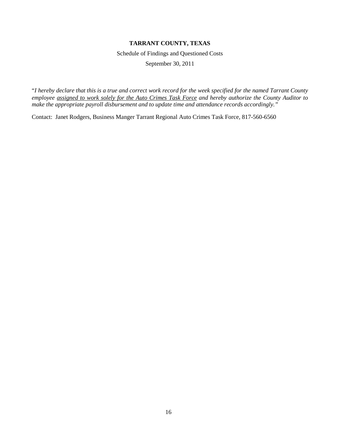Schedule of Findings and Questioned Costs

September 30, 2011

"*I hereby declare that this is a true and correct work record for the week specified for the named Tarrant County employee assigned to work solely for the Auto Crimes Task Force and hereby authorize the County Auditor to make the appropriate payroll disbursement and to update time and attendance records accordingly."*

Contact: Janet Rodgers, Business Manger Tarrant Regional Auto Crimes Task Force, 817-560-6560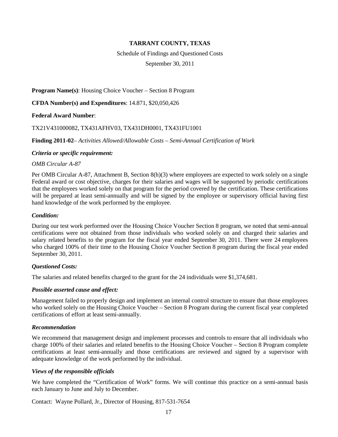### Schedule of Findings and Questioned Costs

September 30, 2011

**Program Name(s)**: Housing Choice Voucher – Section 8 Program

**CFDA Number(s) and Expenditures**: 14.871, \$20,050,426

**Federal Award Number**:

TX21V431000082, TX431AFHV03, TX431DH0001, TX431FU1001

**Finding 2011-02**– *Activities Allowed/Allowable Costs – Semi-Annual Certification of Work*

### *Criteria or specific requirement:*

#### *OMB Circular A-87*

Per OMB Circular A-87, Attachment B, Section 8(h)(3) where employees are expected to work solely on a single Federal award or cost objective, charges for their salaries and wages will be supported by periodic certifications that the employees worked solely on that program for the period covered by the certification. These certifications will be prepared at least semi-annually and will be signed by the employee or supervisory official having first hand knowledge of the work performed by the employee.

#### *Condition:*

During our test work performed over the Housing Choice Voucher Section 8 program, we noted that semi-annual certifications were not obtained from those individuals who worked solely on and charged their salaries and salary related benefits to the program for the fiscal year ended September 30, 2011. There were 24 employees who charged 100% of their time to the Housing Choice Voucher Section 8 program during the fiscal year ended September 30, 2011.

### *Questioned Costs:*

The salaries and related benefits charged to the grant for the 24 individuals were \$1,374,681.

### *Possible asserted cause and effect:*

Management failed to properly design and implement an internal control structure to ensure that those employees who worked solely on the Housing Choice Voucher – Section 8 Program during the current fiscal year completed certifications of effort at least semi-annually.

#### *Recommendation*

We recommend that management design and implement processes and controls to ensure that all individuals who charge 100% of their salaries and related benefits to the Housing Choice Voucher – Section 8 Program complete certifications at least semi-annually and those certifications are reviewed and signed by a supervisor with adequate knowledge of the work performed by the individual.

### *Views of the responsible officials*

We have completed the "Certification of Work" forms. We will continue this practice on a semi-annual basis each January to June and July to December.

Contact: Wayne Pollard, Jr., Director of Housing, 817-531-7654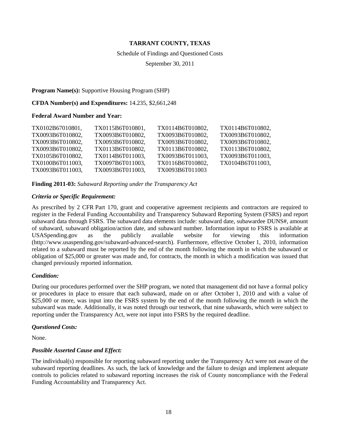#### Schedule of Findings and Questioned Costs

September 30, 2011

#### **Program Name(s):** Supportive Housing Program (SHP)

#### **CFDA Number(s) and Expenditures:** 14.235, \$2,661,248

#### **Federal Award Number and Year:**

| TX0102B67010801, | TX0115B6T010801, | TX0114B6T010802. | TX0114B6T010802, |
|------------------|------------------|------------------|------------------|
| TX0093B6T010802, | TX0093B6T010802, | TX0093B6T010802, | TX0093B6T010802, |
| TX0093B6T010802, | TX0093B6T010802. | TX0093B6T010802. | TX0093B6T010802, |
| TX0093B6T010802, | TX0113B6T010802, | TX0113B6T010802, | TX0113B6T010802, |
| TX0105B6T010802, | TX0114B6T011003, | TX0093B6T011003, | TX0093B6T011003. |
| TX0100B6T011003, | TX0097B6T011003. | TX0116B6T010802. | TX0104B6T011003. |
| TX0093B6T011003, | TX0093B6T011003, | TX0093B6T011003  |                  |

**Finding 2011-03:** *Subaward Reporting under the Transparency Act*

#### *Criteria or Specific Requirement:*

As prescribed by 2 CFR Part 170, grant and cooperative agreement recipients and contractors are required to register in the Federal Funding Accountability and Transparency Subaward Reporting System (FSRS) and report subaward data through FSRS. The subaward data elements include: subaward date, subawardee DUNS#, amount of subaward, subaward obligation/action date, and subaward number. Information input to FSRS is available at USASpending.gov as the publicly available website for viewing this information (http://www.usaspending.gov/subaward-advanced-search). Furthermore, effective October 1, 2010, information related to a subaward must be reported by the end of the month following the month in which the subaward or obligation of \$25,000 or greater was made and, for contracts, the month in which a modification was issued that changed previously reported information.

### *Condition:*

During our procedures performed over the SHP program, we noted that management did not have a formal policy or procedures in place to ensure that each subaward, made on or after October 1, 2010 and with a value of \$25,000 or more, was input into the FSRS system by the end of the month following the month in which the subaward was made. Additionally, it was noted through our testwork, that nine subawards, which were subject to reporting under the Transparency Act, were not input into FSRS by the required deadline.

#### *Questioned Costs:*

None.

### *Possible Asserted Cause and Effect:*

The individual(s) responsible for reporting subaward reporting under the Transparency Act were not aware of the subaward reporting deadlines. As such, the lack of knowledge and the failure to design and implement adequate controls to policies related to subaward reporting increases the risk of County noncompliance with the Federal Funding Accountability and Transparency Act.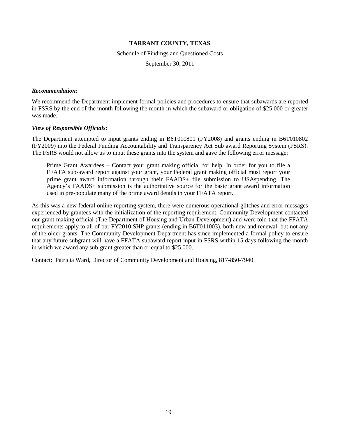Schedule of Findings and Questioned Costs

September 30, 2011

#### *Recommendation:*

We recommend the Department implement formal policies and procedures to ensure that subawards are reported in FSRS by the end of the month following the month in which the subaward or obligation of \$25,000 or greater was made.

#### *View of Responsible Officials:*

The Department attempted to input grants ending in B6T010801 (FY2008) and grants ending in B6T010802 (FY2009) into the Federal Funding Accountability and Transparency Act Sub award Reporting System (FSRS). The FSRS would not allow us to input these grants into the system and gave the following error message:

Prime Grant Awardees – Contact your grant making official for help. In order for you to file a FFATA sub-award report against your grant, your Federal grant making official must report your prime grant award information through their FAADS+ file submission to USAspending. The Agency's FAADS+ submission is the authoritative source for the basic grant award information used in pre-populate many of the prime award details in your FFATA report.

As this was a new federal online reporting system, there were numerous operational glitches and error messages experienced by grantees with the initialization of the reporting requirement. Community Development contacted our grant making official (The Department of Housing and Urban Development) and were told that the FFATA requirements apply to all of our FY2010 SHP grants (ending in B6T011003), both new and renewal, but not any of the older grants. The Community Development Department has since implemented a formal policy to ensure that any future subgrant will have a FFATA subaward report input in FSRS within 15 days following the month in which we award any sub-grant greater than or equal to \$25,000.

Contact: Patricia Ward, Director of Community Development and Housing, 817-850-7940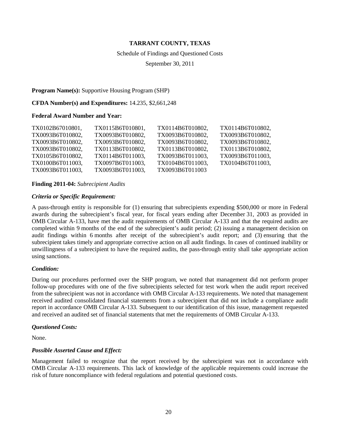#### Schedule of Findings and Questioned Costs

September 30, 2011

#### **Program Name(s):** Supportive Housing Program (SHP)

#### **CFDA Number(s) and Expenditures:** 14.235, \$2,661,248

#### **Federal Award Number and Year:**

| TX0102B67010801, | TX0115B6T010801, | TX0114B6T010802. | TX0114B6T010802, |
|------------------|------------------|------------------|------------------|
| TX0093B6T010802, | TX0093B6T010802, | TX0093B6T010802, | TX0093B6T010802, |
| TX0093B6T010802, | TX0093B6T010802. | TX0093B6T010802. | TX0093B6T010802, |
| TX0093B6T010802, | TX0113B6T010802, | TX0113B6T010802, | TX0113B6T010802, |
| TX0105B6T010802, | TX0114B6T011003, | TX0093B6T011003, | TX0093B6T011003. |
| TX0100B6T011003, | TX0097B6T011003, | TX0104B6T011003. | TX0104B6T011003. |
| TX0093B6T011003, | TX0093B6T011003, | TX0093B6T011003  |                  |

#### **Finding 2011-04:** *Subrecipient Audits*

#### *Criteria or Specific Requirement:*

A pass-through entity is responsible for (1) ensuring that subrecipients expending \$500,000 or more in Federal awards during the subrecipient's fiscal year, for fiscal years ending after December 31, 2003 as provided in OMB Circular A-133, have met the audit requirements of OMB Circular A-133 and that the required audits are completed within 9 months of the end of the subrecipient's audit period; (2) issuing a management decision on audit findings within 6 months after receipt of the subrecipient's audit report; and (3) ensuring that the subrecipient takes timely and appropriate corrective action on all audit findings. In cases of continued inability or unwillingness of a subrecipient to have the required audits, the pass-through entity shall take appropriate action using sanctions.

### *Condition:*

During our procedures performed over the SHP program, we noted that management did not perform proper follow-up procedures with one of the five subrecipients selected for test work when the audit report received from the subrecipient was not in accordance with OMB Circular A-133 requirements. We noted that management received audited consolidated financial statements from a subrecipient that did not include a compliance audit report in accordance OMB Circular A-133. Subsequent to our identification of this issue, management requested and received an audited set of financial statements that met the requirements of OMB Circular A-133.

#### *Questioned Costs:*

None.

### *Possible Asserted Cause and Effect:*

Management failed to recognize that the report received by the subrecipient was not in accordance with OMB Circular A-133 requirements. This lack of knowledge of the applicable requirements could increase the risk of future noncompliance with federal regulations and potential questioned costs.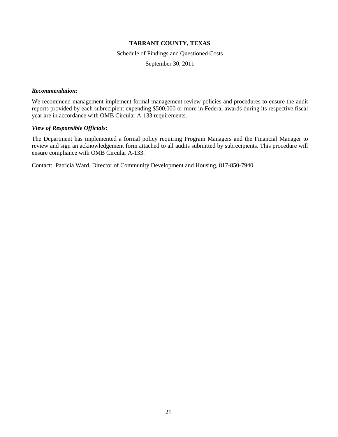Schedule of Findings and Questioned Costs

September 30, 2011

#### *Recommendation:*

We recommend management implement formal management review policies and procedures to ensure the audit reports provided by each subrecipient expending \$500,000 or more in Federal awards during its respective fiscal year are in accordance with OMB Circular A-133 requirements.

#### *View of Responsible Officials:*

The Department has implemented a formal policy requiring Program Managers and the Financial Manager to review and sign an acknowledgement form attached to all audits submitted by subrecipients. This procedure will ensure compliance with OMB Circular A-133.

Contact: Patricia Ward, Director of Community Development and Housing, 817-850-7940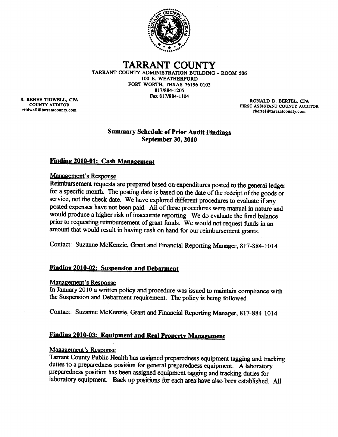

#### TARRANT COUNTY TARRANT COUNTY ADMINISTRATION BUILDING - ROOM 506 100 E. WEATHERFORD FORT WORTH, TEXAS 76196-0103 817/884-1205 Fax 817/884-1104

S. RENEE TIDWELL, CPA **COUNTY AUDITOR** rtidwell@tarrantcounty.com

RONALD D. BERTEL, CPA FIRST ASSISTANT COUNTY AUDITOR rbertel@tarrantcounty.com

# **Summary Schedule of Prior Audit Findings September 30, 2010**

# **Finding 2010-01: Cash Management**

# **Management's Response**

Reimbursement requests are prepared based on expenditures posted to the general ledger for a specific month. The posting date is based on the date of the receipt of the goods or service, not the check date. We have explored different procedures to evaluate if any posted expenses have not been paid. All of these procedures were manual in nature and would produce a higher risk of inaccurate reporting. We do evaluate the fund balance prior to requesting reimbursement of grant funds. We would not request funds in an amount that would result in having cash on hand for our reimbursement grants.

Contact: Suzanne McKenzie, Grant and Financial Reporting Manager, 817-884-1014

# Finding 2010-02: Suspension and Debarment

# **Management's Response**

In January 2010 a written policy and procedure was issued to maintain compliance with the Suspension and Debarment requirement. The policy is being followed.

Contact: Suzanne McKenzie, Grant and Financial Reporting Manager, 817-884-1014

# Finding 2010-03: Equipment and Real Property Management

# Management's Response

Tarrant County Public Health has assigned preparedness equipment tagging and tracking duties to a preparedness position for general preparedness equipment. A laboratory preparedness position has been assigned equipment tagging and tracking duties for laboratory equipment. Back up positions for each area have also been established. All